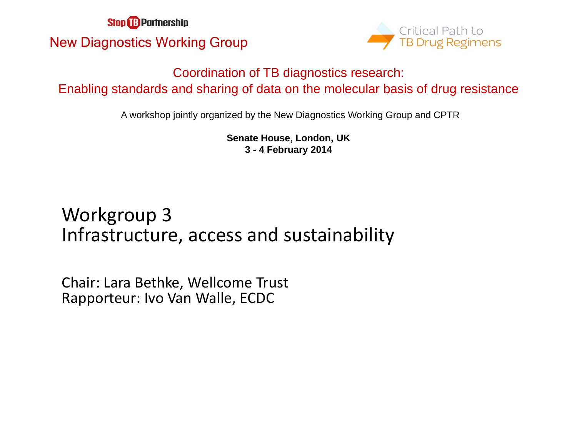**Stop & Partnership New Diagnostics Working Group** 



#### Coordination of TB diagnostics research: Enabling standards and sharing of data on the molecular basis of drug resistance

A workshop jointly organized by the New Diagnostics Working Group and CPTR

**Senate House, London, UK 3 - 4 February 2014**

#### Workgroup 3 Infrastructure, access and sustainability

Chair: Lara Bethke, Wellcome Trust Rapporteur: Ivo Van Walle, ECDC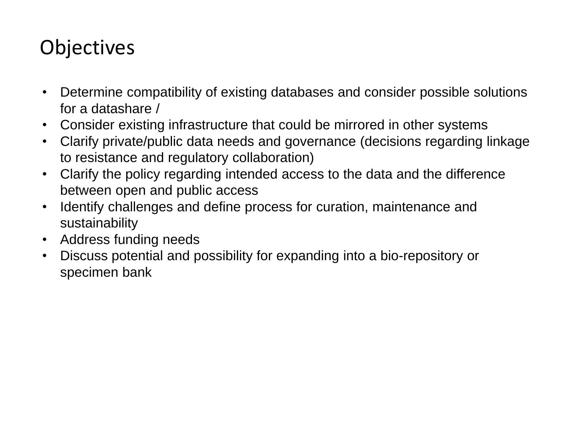## **Objectives**

- Determine compatibility of existing databases and consider possible solutions for a datashare /
- Consider existing infrastructure that could be mirrored in other systems
- Clarify private/public data needs and governance (decisions regarding linkage to resistance and regulatory collaboration)
- Clarify the policy regarding intended access to the data and the difference between open and public access
- Identify challenges and define process for curation, maintenance and sustainability
- Address funding needs
- Discuss potential and possibility for expanding into a bio-repository or specimen bank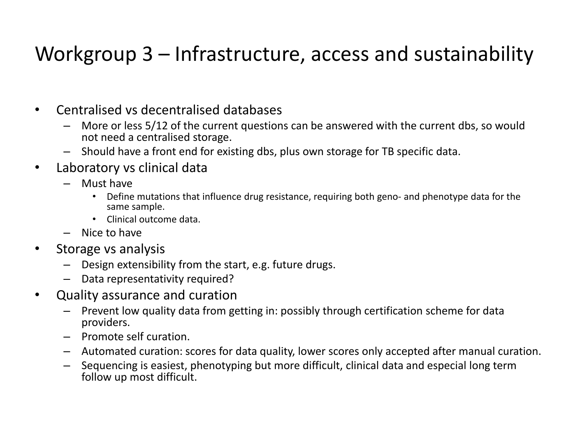# Workgroup 3 – Infrastructure, access and sustainability

- Centralised vs decentralised databases
	- More or less 5/12 of the current questions can be answered with the current dbs, so would not need a centralised storage.
	- Should have a front end for existing dbs, plus own storage for TB specific data.
- Laboratory vs clinical data
	- Must have
		- Define mutations that influence drug resistance, requiring both geno- and phenotype data for the same sample.
		- Clinical outcome data.
	- Nice to have
- Storage vs analysis
	- Design extensibility from the start, e.g. future drugs.
	- Data representativity required?
- Quality assurance and curation
	- Prevent low quality data from getting in: possibly through certification scheme for data providers.
	- Promote self curation.
	- Automated curation: scores for data quality, lower scores only accepted after manual curation.
	- Sequencing is easiest, phenotyping but more difficult, clinical data and especial long term follow up most difficult.